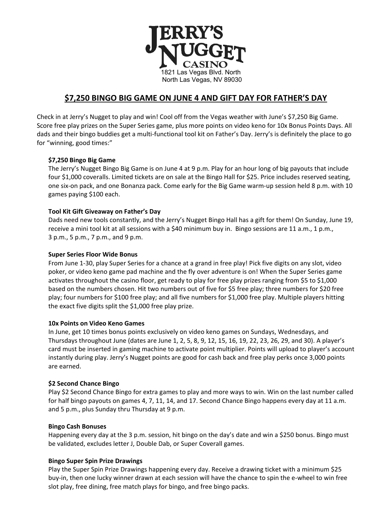

# **\$7,250 BINGO BIG GAME ON JUNE 4 AND GIFT DAY FOR FATHER'S DAY**

Check in at Jerry's Nugget to play and win! Cool off from the Vegas weather with June's \$7,250 Big Game. Score free play prizes on the Super Series game, plus more points on video keno for 10x Bonus Points Days. All dads and their bingo buddies get a multi-functional tool kit on Father's Day. Jerry's is definitely the place to go for "winning, good times:"

# **\$7,250 Bingo Big Game**

The Jerry's Nugget Bingo Big Game is on June 4 at 9 p.m. Play for an hour long of big payouts that include four \$1,000 coveralls. Limited tickets are on sale at the Bingo Hall for \$25. Price includes reserved seating, one six-on pack, and one Bonanza pack. Come early for the Big Game warm-up session held 8 p.m. with 10 games paying \$100 each.

# **Tool Kit Gift Giveaway on Father's Day**

Dads need new tools constantly, and the Jerry's Nugget Bingo Hall has a gift for them! On Sunday, June 19, receive a mini tool kit at all sessions with a \$40 minimum buy in. Bingo sessions are 11 a.m., 1 p.m., 3 p.m., 5 p.m., 7 p.m., and 9 p.m.

# **Super Series Floor Wide Bonus**

From June 1-30, play Super Series for a chance at a grand in free play! Pick five digits on any slot, video poker, or video keno game pad machine and the fly over adventure is on! When the Super Series game activates throughout the casino floor, get ready to play for free play prizes ranging from \$5 to \$1,000 based on the numbers chosen. Hit two numbers out of five for \$5 free play; three numbers for \$20 free play; four numbers for \$100 free play; and all five numbers for \$1,000 free play. Multiple players hitting the exact five digits split the \$1,000 free play prize.

# **10x Points on Video Keno Games**

In June, get 10 times bonus points exclusively on video keno games on Sundays, Wednesdays, and Thursdays throughout June (dates are June 1, 2, 5, 8, 9, 12, 15, 16, 19, 22, 23, 26, 29, and 30). A player's card must be inserted in gaming machine to activate point multiplier. Points will upload to player's account instantly during play. Jerry's Nugget points are good for cash back and free play perks once 3,000 points are earned.

# **\$2 Second Chance Bingo**

Play \$2 Second Chance Bingo for extra games to play and more ways to win. Win on the last number called for half bingo payouts on games 4, 7, 11, 14, and 17. Second Chance Bingo happens every day at 11 a.m. and 5 p.m., plus Sunday thru Thursday at 9 p.m.

# **Bingo Cash Bonuses**

Happening every day at the 3 p.m. session, hit bingo on the day's date and win a \$250 bonus. Bingo must be validated, excludes letter J, Double Dab, or Super Coverall games.

# **Bingo Super Spin Prize Drawings**

Play the Super Spin Prize Drawings happening every day. Receive a drawing ticket with a minimum \$25 buy-in, then one lucky winner drawn at each session will have the chance to spin the e-wheel to win free slot play, free dining, free match plays for bingo, and free bingo packs.